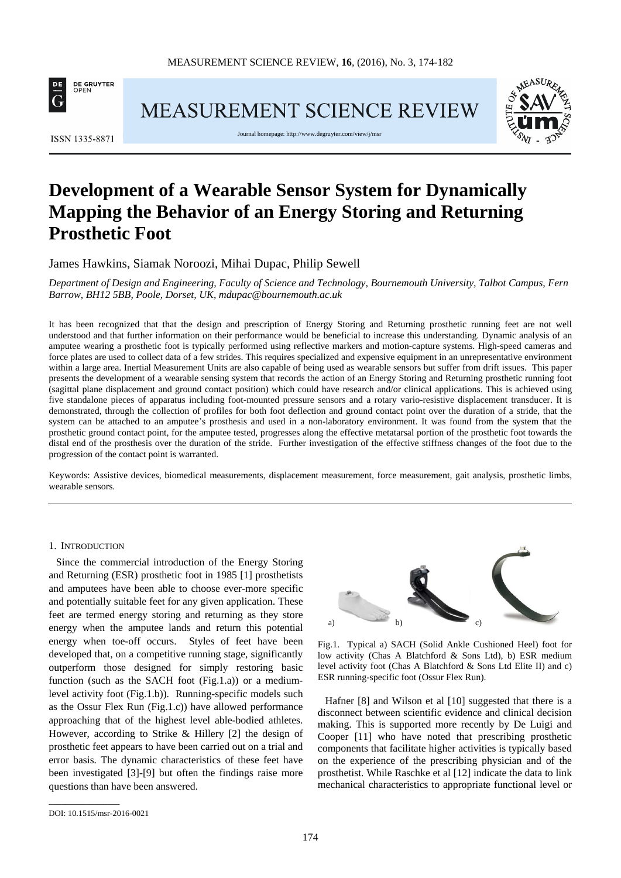

**MEASUREMENT SCIENCE REVIEW** 



ISSN 1335-8871

Journal homepage[: http://www.degruyter.com/view/j/msr](http://www.degruyter.com/view/j/msr)

# **Development of a Wearable Sensor System for Dynamically Mapping the Behavior of an Energy Storing and Returning Prosthetic Foot**

James Hawkins, Siamak Noroozi, Mihai Dupac, Philip Sewell

*Department of Design and Engineering, Faculty of Science and Technology, Bournemouth University, Talbot Campus, Fern Barrow, BH12 5BB, Poole, Dorset, UK, mdupac@bournemouth.ac.uk*

It has been recognized that that the design and prescription of Energy Storing and Returning prosthetic running feet are not well understood and that further information on their performance would be beneficial to increase this understanding. Dynamic analysis of an amputee wearing a prosthetic foot is typically performed using reflective markers and motion-capture systems. High-speed cameras and force plates are used to collect data of a few strides. This requires specialized and expensive equipment in an unrepresentative environment within a large area. Inertial Measurement Units are also capable of being used as wearable sensors but suffer from drift issues. This paper presents the development of a wearable sensing system that records the action of an Energy Storing and Returning prosthetic running foot (sagittal plane displacement and ground contact position) which could have research and/or clinical applications. This is achieved using five standalone pieces of apparatus including foot-mounted pressure sensors and a rotary vario-resistive displacement transducer. It is demonstrated, through the collection of profiles for both foot deflection and ground contact point over the duration of a stride, that the system can be attached to an amputee's prosthesis and used in a non-laboratory environment. It was found from the system that the prosthetic ground contact point, for the amputee tested, progresses along the effective metatarsal portion of the prosthetic foot towards the distal end of the prosthesis over the duration of the stride. Further investigation of the effective stiffness changes of the foot due to the progression of the contact point is warranted.

Keywords: Assistive devices, biomedical measurements, displacement measurement, force measurement, gait analysis, prosthetic limbs, wearable sensors.

## 1. INTRODUCTION

Since the commercial introduction of the Energy Storing and Returning (ESR) prosthetic foot in 1985 [1] prosthetists and amputees have been able to choose ever-more specific and potentially suitable feet for any given application. These feet are termed energy storing and returning as they store energy when the amputee lands and return this potential energy when toe-off occurs. Styles of feet have been developed that, on a competitive running stage, significantly outperform those designed for simply restoring basic function (such as the SACH foot (Fig.1.a)) or a mediumlevel activity foot (Fig.1.b)). Running-specific models such as the Ossur Flex Run (Fig.1.c)) have allowed performance approaching that of the highest level able-bodied athletes. However, according to Strike & Hillery [2] the design of prosthetic feet appears to have been carried out on a trial and error basis. The dynamic characteristics of these feet have been investigated [3]-[9] but often the findings raise more questions than have been answered.



Fig.1. Typical a) SACH (Solid Ankle Cushioned Heel) foot for low activity (Chas A Blatchford & Sons Ltd), b) ESR medium level activity foot (Chas A Blatchford & Sons Ltd Elite II) and c) ESR running-specific foot (Ossur Flex Run).

Hafner [8] and Wilson et al [10] suggested that there is a disconnect between scientific evidence and clinical decision making. This is supported more recently by De Luigi and Cooper [11] who have noted that prescribing prosthetic components that facilitate higher activities is typically based on the experience of the prescribing physician and of the prosthetist. While Raschke et al [12] indicate the data to link mechanical characteristics to appropriate functional level or

\_\_\_\_\_\_\_\_\_\_\_\_\_\_\_\_\_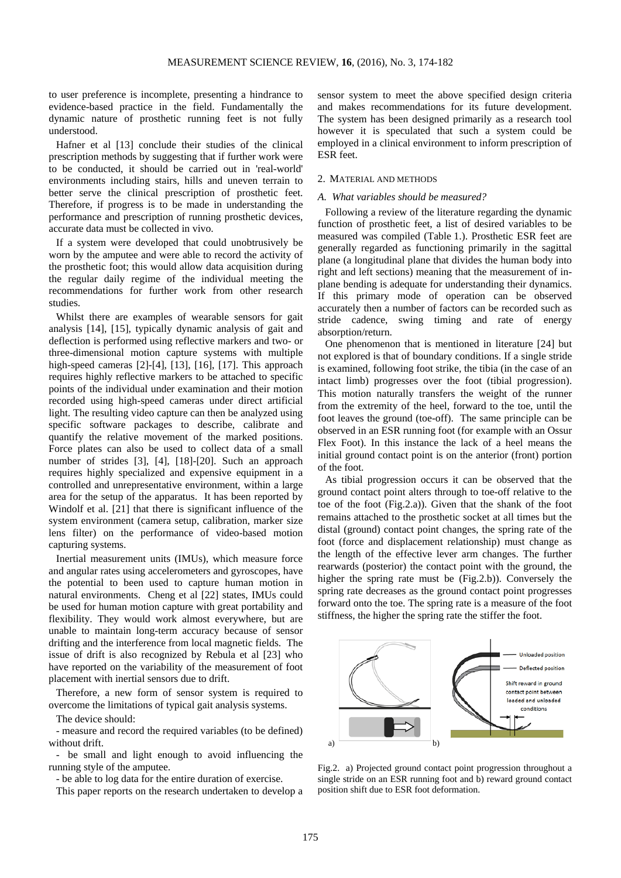to user preference is incomplete, presenting a hindrance to evidence-based practice in the field. Fundamentally the dynamic nature of prosthetic running feet is not fully understood.

Hafner et al [13] conclude their studies of the clinical prescription methods by suggesting that if further work were to be conducted, it should be carried out in 'real-world' environments including stairs, hills and uneven terrain to better serve the clinical prescription of prosthetic feet. Therefore, if progress is to be made in understanding the performance and prescription of running prosthetic devices, accurate data must be collected in vivo.

If a system were developed that could unobtrusively be worn by the amputee and were able to record the activity of the prosthetic foot; this would allow data acquisition during the regular daily regime of the individual meeting the recommendations for further work from other research studies.

Whilst there are examples of wearable sensors for gait analysis [14], [15], typically dynamic analysis of gait and deflection is performed using reflective markers and two- or three-dimensional motion capture systems with multiple high-speed cameras [2]-[4], [13], [16], [17]. This approach requires highly reflective markers to be attached to specific points of the individual under examination and their motion recorded using high-speed cameras under direct artificial light. The resulting video capture can then be analyzed using specific software packages to describe, calibrate and quantify the relative movement of the marked positions. Force plates can also be used to collect data of a small number of strides [3], [4], [18]-[20]. Such an approach requires highly specialized and expensive equipment in a controlled and unrepresentative environment, within a large area for the setup of the apparatus. It has been reported by Windolf et al. [21] that there is significant influence of the system environment (camera setup, calibration, marker size lens filter) on the performance of video-based motion capturing systems.

Inertial measurement units (IMUs), which measure force and angular rates using accelerometers and gyroscopes, have the potential to been used to capture human motion in natural environments. Cheng et al [22] states, IMUs could be used for human motion capture with great portability and flexibility. They would work almost everywhere, but are unable to maintain long-term accuracy because of sensor drifting and the interference from local magnetic fields. The issue of drift is also recognized by Rebula et al [23] who have reported on the variability of the measurement of foot placement with inertial sensors due to drift.

Therefore, a new form of sensor system is required to overcome the limitations of typical gait analysis systems.

The device should:

- measure and record the required variables (to be defined) without drift.

- be small and light enough to avoid influencing the running style of the amputee.

- be able to log data for the entire duration of exercise.

This paper reports on the research undertaken to develop a

sensor system to meet the above specified design criteria and makes recommendations for its future development. The system has been designed primarily as a research tool however it is speculated that such a system could be employed in a clinical environment to inform prescription of ESR feet.

## 2. MATERIAL AND METHODS

#### *A. What variables should be measured?*

Following a review of the literature regarding the dynamic function of prosthetic feet, a list of desired variables to be measured was compiled (Table 1.). Prosthetic ESR feet are generally regarded as functioning primarily in the sagittal plane (a longitudinal plane that divides the human body into right and left sections) meaning that the measurement of inplane bending is adequate for understanding their dynamics. If this primary mode of operation can be observed accurately then a number of factors can be recorded such as stride cadence, swing timing and rate of energy absorption/return.

One phenomenon that is mentioned in literature [24] but not explored is that of boundary conditions. If a single stride is examined, following foot strike, the tibia (in the case of an intact limb) progresses over the foot (tibial progression). This motion naturally transfers the weight of the runner from the extremity of the heel, forward to the toe, until the foot leaves the ground (toe-off). The same principle can be observed in an ESR running foot (for example with an Ossur Flex Foot). In this instance the lack of a heel means the initial ground contact point is on the anterior (front) portion of the foot.

As tibial progression occurs it can be observed that the ground contact point alters through to toe-off relative to the toe of the foot (Fig.2.a)). Given that the shank of the foot remains attached to the prosthetic socket at all times but the distal (ground) contact point changes, the spring rate of the foot (force and displacement relationship) must change as the length of the effective lever arm changes. The further rearwards (posterior) the contact point with the ground, the higher the spring rate must be (Fig.2.b)). Conversely the spring rate decreases as the ground contact point progresses forward onto the toe. The spring rate is a measure of the foot stiffness, the higher the spring rate the stiffer the foot.



Fig.2. a) Projected ground contact point progression throughout a single stride on an ESR running foot and b) reward ground contact position shift due to ESR foot deformation.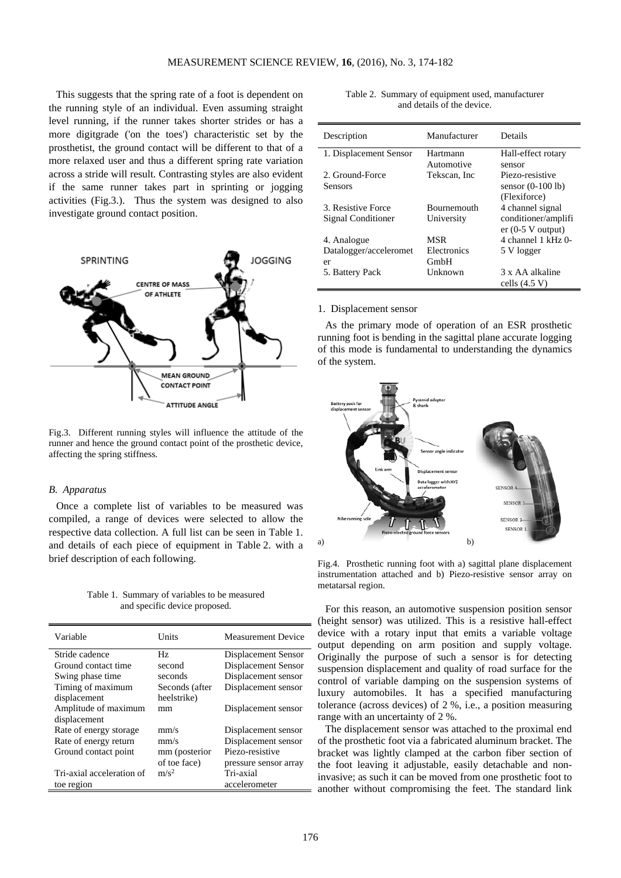This suggests that the spring rate of a foot is dependent on the running style of an individual. Even assuming straight level running, if the runner takes shorter strides or has a more digitgrade ('on the toes') characteristic set by the prosthetist, the ground contact will be different to that of a more relaxed user and thus a different spring rate variation across a stride will result. Contrasting styles are also evident if the same runner takes part in sprinting or jogging activities (Fig.3.). Thus the system was designed to also investigate ground contact position.



Fig.3. Different running styles will influence the attitude of the runner and hence the ground contact point of the prosthetic device, affecting the spring stiffness.

## *B. Apparatus*

Once a complete list of variables to be measured was compiled, a range of devices were selected to allow the respective data collection. A full list can be seen in Table 1. and details of each piece of equipment in Table 2. with a brief description of each following.

Table 1. Summary of variables to be measured and specific device proposed.

| Variable                  | Units            | <b>Measurement Device</b> |
|---------------------------|------------------|---------------------------|
| Stride cadence            | Hz.              | Displacement Sensor       |
| Ground contact time       | second           | Displacement Sensor       |
| Swing phase time          | seconds          | Displacement sensor       |
| Timing of maximum         | Seconds (after   | Displacement sensor       |
| displacement              | heelstrike)      |                           |
| Amplitude of maximum      | mm               | Displacement sensor       |
| displacement              |                  |                           |
| Rate of energy storage    | mm/s             | Displacement sensor       |
| Rate of energy return     | mm/s             | Displacement sensor       |
| Ground contact point      | mm (posterior    | Piezo-resistive           |
|                           | of toe face)     | pressure sensor array     |
| Tri-axial acceleration of | m/s <sup>2</sup> | Tri-axial                 |
| toe region                |                  | accelerometer             |

|                            | Table 2. Summary of equipment used, manufacturer |  |
|----------------------------|--------------------------------------------------|--|
| and details of the device. |                                                  |  |

| Description            | Manufacturer       | Details             |
|------------------------|--------------------|---------------------|
| 1. Displacement Sensor | Hartmann           | Hall-effect rotary  |
|                        | Automotive         | sensor              |
| 2. Ground-Force        | Tekscan, Inc.      | Piezo-resistive     |
| Sensors                |                    | sensor $(0-100$ lb) |
|                        |                    | (Flexiforce)        |
| 3. Resistive Force     | <b>Bournemouth</b> | 4 channel signal    |
| Signal Conditioner     | University         | conditioner/amplifi |
|                        |                    | $er (0-5 V output)$ |
| 4. Analogue            | MSR                | 4 channel 1 kHz 0-  |
| Datalogger/acceleromet | Electronics        | 5 V logger          |
| er                     | GmbH               |                     |
| 5. Battery Pack        | Unknown            | 3 x AA alkaline     |
|                        |                    | cells $(4.5 V)$     |

#### 1. Displacement sensor

As the primary mode of operation of an ESR prosthetic running foot is bending in the sagittal plane accurate logging of this mode is fundamental to understanding the dynamics of the system.



Fig.4. Prosthetic running foot with a) sagittal plane displacement instrumentation attached and b) Piezo-resistive sensor array on metatarsal region.

For this reason, an automotive suspension position sensor (height sensor) was utilized. This is a resistive hall-effect device with a rotary input that emits a variable voltage output depending on arm position and supply voltage. Originally the purpose of such a sensor is for detecting suspension displacement and quality of road surface for the control of variable damping on the suspension systems of luxury automobiles. It has a specified manufacturing tolerance (across devices) of 2 %, i.e., a position measuring range with an uncertainty of 2 %.

The displacement sensor was attached to the proximal end of the prosthetic foot via a fabricated aluminum bracket. The bracket was lightly clamped at the carbon fiber section of the foot leaving it adjustable, easily detachable and noninvasive; as such it can be moved from one prosthetic foot to another without compromising the feet. The standard link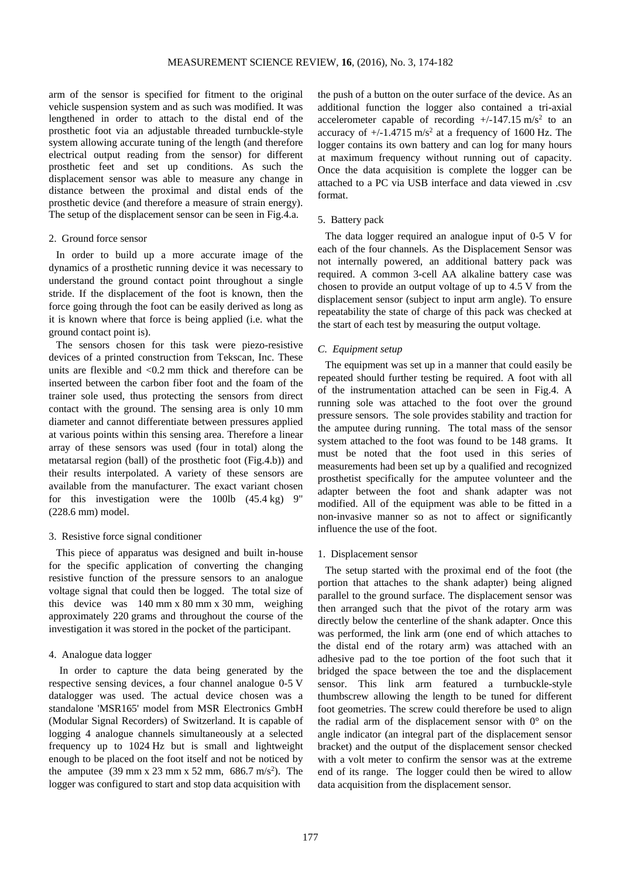arm of the sensor is specified for fitment to the original vehicle suspension system and as such was modified. It was lengthened in order to attach to the distal end of the prosthetic foot via an adjustable threaded turnbuckle-style system allowing accurate tuning of the length (and therefore electrical output reading from the sensor) for different prosthetic feet and set up conditions. As such the displacement sensor was able to measure any change in distance between the proximal and distal ends of the prosthetic device (and therefore a measure of strain energy). The setup of the displacement sensor can be seen in Fig.4.a.

#### 2. Ground force sensor

In order to build up a more accurate image of the dynamics of a prosthetic running device it was necessary to understand the ground contact point throughout a single stride. If the displacement of the foot is known, then the force going through the foot can be easily derived as long as it is known where that force is being applied (i.e. what the ground contact point is).

The sensors chosen for this task were piezo-resistive devices of a printed construction from Tekscan, Inc. These units are flexible and <0.2 mm thick and therefore can be inserted between the carbon fiber foot and the foam of the trainer sole used, thus protecting the sensors from direct contact with the ground. The sensing area is only 10 mm diameter and cannot differentiate between pressures applied at various points within this sensing area. Therefore a linear array of these sensors was used (four in total) along the metatarsal region (ball) of the prosthetic foot (Fig.4.b)) and their results interpolated. A variety of these sensors are available from the manufacturer. The exact variant chosen for this investigation were the 100lb (45.4 kg) 9" (228.6 mm) model.

## 3. Resistive force signal conditioner

This piece of apparatus was designed and built in-house for the specific application of converting the changing resistive function of the pressure sensors to an analogue voltage signal that could then be logged. The total size of this device was 140 mm x 80 mm x 30 mm, weighing approximately 220 grams and throughout the course of the investigation it was stored in the pocket of the participant.

## 4. Analogue data logger

In order to capture the data being generated by the respective sensing devices, a four channel analogue 0-5 V datalogger was used. The actual device chosen was a standalone 'MSR165' model from MSR Electronics GmbH (Modular Signal Recorders) of Switzerland. It is capable of logging 4 analogue channels simultaneously at a selected frequency up to 1024 Hz but is small and lightweight enough to be placed on the foot itself and not be noticed by the amputee  $(39 \text{ mm} \times 23 \text{ mm} \times 52 \text{ mm}, \, 686.7 \text{ m/s}^2)$ . The logger was configured to start and stop data acquisition with

the push of a button on the outer surface of the device. As an additional function the logger also contained a tri-axial accelerometer capable of recording  $+/-147.15 \text{ m/s}^2$  to an accuracy of  $+/-1.4715$  m/s<sup>2</sup> at a frequency of 1600 Hz. The logger contains its own battery and can log for many hours at maximum frequency without running out of capacity. Once the data acquisition is complete the logger can be attached to a PC via USB interface and data viewed in .csv format.

## 5. Battery pack

The data logger required an analogue input of 0-5 V for each of the four channels. As the Displacement Sensor was not internally powered, an additional battery pack was required. A common 3-cell AA alkaline battery case was chosen to provide an output voltage of up to 4.5 V from the displacement sensor (subject to input arm angle). To ensure repeatability the state of charge of this pack was checked at the start of each test by measuring the output voltage.

#### *C. Equipment setup*

The equipment was set up in a manner that could easily be repeated should further testing be required. A foot with all of the instrumentation attached can be seen in Fig.4. A running sole was attached to the foot over the ground pressure sensors. The sole provides stability and traction for the amputee during running. The total mass of the sensor system attached to the foot was found to be 148 grams. It must be noted that the foot used in this series of measurements had been set up by a qualified and recognized prosthetist specifically for the amputee volunteer and the adapter between the foot and shank adapter was not modified. All of the equipment was able to be fitted in a non-invasive manner so as not to affect or significantly influence the use of the foot.

## 1. Displacement sensor

The setup started with the proximal end of the foot (the portion that attaches to the shank adapter) being aligned parallel to the ground surface. The displacement sensor was then arranged such that the pivot of the rotary arm was directly below the centerline of the shank adapter. Once this was performed, the link arm (one end of which attaches to the distal end of the rotary arm) was attached with an adhesive pad to the toe portion of the foot such that it bridged the space between the toe and the displacement sensor. This link arm featured a turnbuckle-style thumbscrew allowing the length to be tuned for different foot geometries. The screw could therefore be used to align the radial arm of the displacement sensor with 0° on the angle indicator (an integral part of the displacement sensor bracket) and the output of the displacement sensor checked with a volt meter to confirm the sensor was at the extreme end of its range. The logger could then be wired to allow data acquisition from the displacement sensor.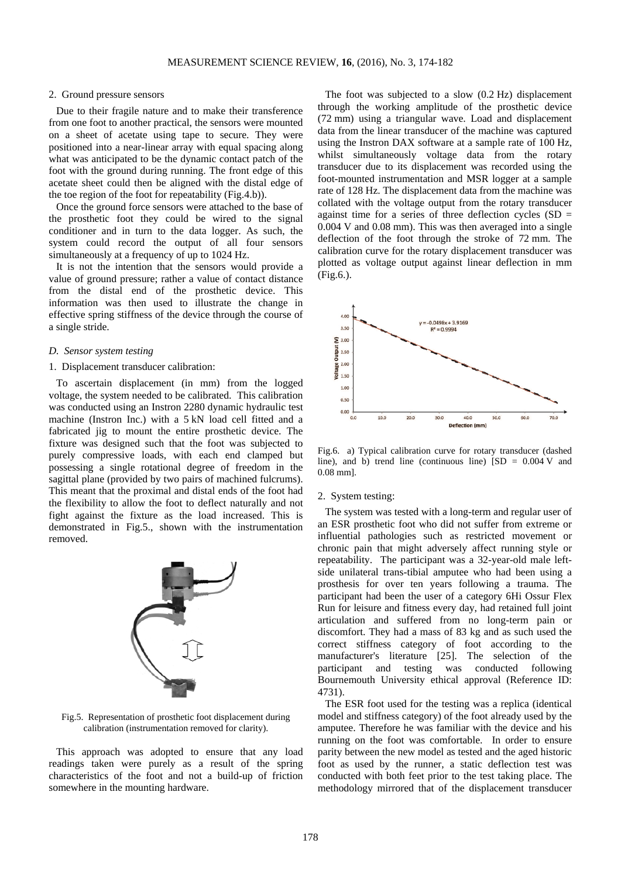## 2. Ground pressure sensors

Due to their fragile nature and to make their transference from one foot to another practical, the sensors were mounted on a sheet of acetate using tape to secure. They were positioned into a near-linear array with equal spacing along what was anticipated to be the dynamic contact patch of the foot with the ground during running. The front edge of this acetate sheet could then be aligned with the distal edge of the toe region of the foot for repeatability (Fig.4.b)).

Once the ground force sensors were attached to the base of the prosthetic foot they could be wired to the signal conditioner and in turn to the data logger. As such, the system could record the output of all four sensors simultaneously at a frequency of up to 1024 Hz.

It is not the intention that the sensors would provide a value of ground pressure; rather a value of contact distance from the distal end of the prosthetic device. This information was then used to illustrate the change in effective spring stiffness of the device through the course of a single stride.

#### *D. Sensor system testing*

#### 1. Displacement transducer calibration:

To ascertain displacement (in mm) from the logged voltage, the system needed to be calibrated. This calibration was conducted using an Instron 2280 dynamic hydraulic test machine (Instron Inc.) with a 5 kN load cell fitted and a fabricated jig to mount the entire prosthetic device. The fixture was designed such that the foot was subjected to purely compressive loads, with each end clamped but possessing a single rotational degree of freedom in the sagittal plane (provided by two pairs of machined fulcrums). This meant that the proximal and distal ends of the foot had the flexibility to allow the foot to deflect naturally and not fight against the fixture as the load increased. This is demonstrated in Fig.5., shown with the instrumentation removed.



Fig.5. Representation of prosthetic foot displacement during calibration (instrumentation removed for clarity).

This approach was adopted to ensure that any load readings taken were purely as a result of the spring characteristics of the foot and not a build-up of friction somewhere in the mounting hardware.

The foot was subjected to a slow (0.2 Hz) displacement through the working amplitude of the prosthetic device (72 mm) using a triangular wave. Load and displacement data from the linear transducer of the machine was captured using the Instron DAX software at a sample rate of 100 Hz, whilst simultaneously voltage data from the rotary transducer due to its displacement was recorded using the foot-mounted instrumentation and MSR logger at a sample rate of 128 Hz. The displacement data from the machine was collated with the voltage output from the rotary transducer against time for a series of three deflection cycles  $(SD =$ 0.004 V and 0.08 mm). This was then averaged into a single deflection of the foot through the stroke of 72 mm. The calibration curve for the rotary displacement transducer was plotted as voltage output against linear deflection in mm (Fig.6.).



Fig.6. a) Typical calibration curve for rotary transducer (dashed line), and b) trend line (continuous line)  $[SD = 0.004 V]$  and 0.08 mm].

## 2. System testing:

The system was tested with a long-term and regular user of an ESR prosthetic foot who did not suffer from extreme or influential pathologies such as restricted movement or chronic pain that might adversely affect running style or repeatability. The participant was a 32-year-old male leftside unilateral trans-tibial amputee who had been using a prosthesis for over ten years following a trauma. The participant had been the user of a category 6Hi Ossur Flex Run for leisure and fitness every day, had retained full joint articulation and suffered from no long-term pain or discomfort. They had a mass of 83 kg and as such used the correct stiffness category of foot according to the manufacturer's literature [25]. The selection of the participant and testing was conducted following Bournemouth University ethical approval (Reference ID: 4731).

The ESR foot used for the testing was a replica (identical model and stiffness category) of the foot already used by the amputee. Therefore he was familiar with the device and his running on the foot was comfortable. In order to ensure parity between the new model as tested and the aged historic foot as used by the runner, a static deflection test was conducted with both feet prior to the test taking place. The methodology mirrored that of the displacement transducer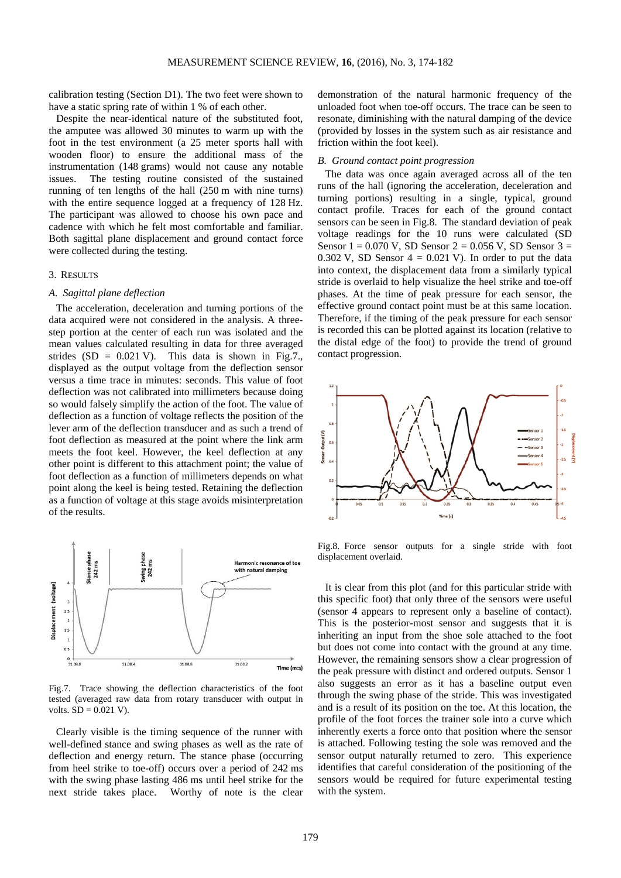calibration testing (Section D1). The two feet were shown to have a static spring rate of within 1 % of each other.

Despite the near-identical nature of the substituted foot, the amputee was allowed 30 minutes to warm up with the foot in the test environment (a 25 meter sports hall with wooden floor) to ensure the additional mass of the instrumentation (148 grams) would not cause any notable issues. The testing routine consisted of the sustained running of ten lengths of the hall (250 m with nine turns) with the entire sequence logged at a frequency of 128 Hz. The participant was allowed to choose his own pace and cadence with which he felt most comfortable and familiar. Both sagittal plane displacement and ground contact force were collected during the testing.

## 3. RESULTS

#### *A. Sagittal plane deflection*

The acceleration, deceleration and turning portions of the data acquired were not considered in the analysis. A threestep portion at the center of each run was isolated and the mean values calculated resulting in data for three averaged strides  $(SD = 0.021 \text{ V})$ . This data is shown in Fig.7., displayed as the output voltage from the deflection sensor versus a time trace in minutes: seconds. This value of foot deflection was not calibrated into millimeters because doing so would falsely simplify the action of the foot. The value of deflection as a function of voltage reflects the position of the lever arm of the deflection transducer and as such a trend of foot deflection as measured at the point where the link arm meets the foot keel. However, the keel deflection at any other point is different to this attachment point; the value of foot deflection as a function of millimeters depends on what point along the keel is being tested. Retaining the deflection as a function of voltage at this stage avoids misinterpretation of the results.



Fig.7. Trace showing the deflection characteristics of the foot tested (averaged raw data from rotary transducer with output in volts.  $SD = 0.021$  V).

Clearly visible is the timing sequence of the runner with well-defined stance and swing phases as well as the rate of deflection and energy return. The stance phase (occurring from heel strike to toe-off) occurs over a period of 242 ms with the swing phase lasting 486 ms until heel strike for the next stride takes place. Worthy of note is the clear demonstration of the natural harmonic frequency of the unloaded foot when toe-off occurs. The trace can be seen to resonate, diminishing with the natural damping of the device (provided by losses in the system such as air resistance and friction within the foot keel).

## *B. Ground contact point progression*

The data was once again averaged across all of the ten runs of the hall (ignoring the acceleration, deceleration and turning portions) resulting in a single, typical, ground contact profile. Traces for each of the ground contact sensors can be seen in Fig.8. The standard deviation of peak voltage readings for the 10 runs were calculated (SD Sensor  $1 = 0.070$  V, SD Sensor  $2 = 0.056$  V, SD Sensor  $3 = 0.056$ 0.302 V, SD Sensor  $4 = 0.021$  V). In order to put the data into context, the displacement data from a similarly typical stride is overlaid to help visualize the heel strike and toe-off phases. At the time of peak pressure for each sensor, the effective ground contact point must be at this same location. Therefore, if the timing of the peak pressure for each sensor is recorded this can be plotted against its location (relative to the distal edge of the foot) to provide the trend of ground contact progression.



Fig.8. Force sensor outputs for a single stride with foot displacement overlaid.

It is clear from this plot (and for this particular stride with this specific foot) that only three of the sensors were useful (sensor 4 appears to represent only a baseline of contact). This is the posterior-most sensor and suggests that it is inheriting an input from the shoe sole attached to the foot but does not come into contact with the ground at any time. However, the remaining sensors show a clear progression of the peak pressure with distinct and ordered outputs. Sensor 1 also suggests an error as it has a baseline output even through the swing phase of the stride. This was investigated and is a result of its position on the toe. At this location, the profile of the foot forces the trainer sole into a curve which inherently exerts a force onto that position where the sensor is attached. Following testing the sole was removed and the sensor output naturally returned to zero. This experience identifies that careful consideration of the positioning of the sensors would be required for future experimental testing with the system.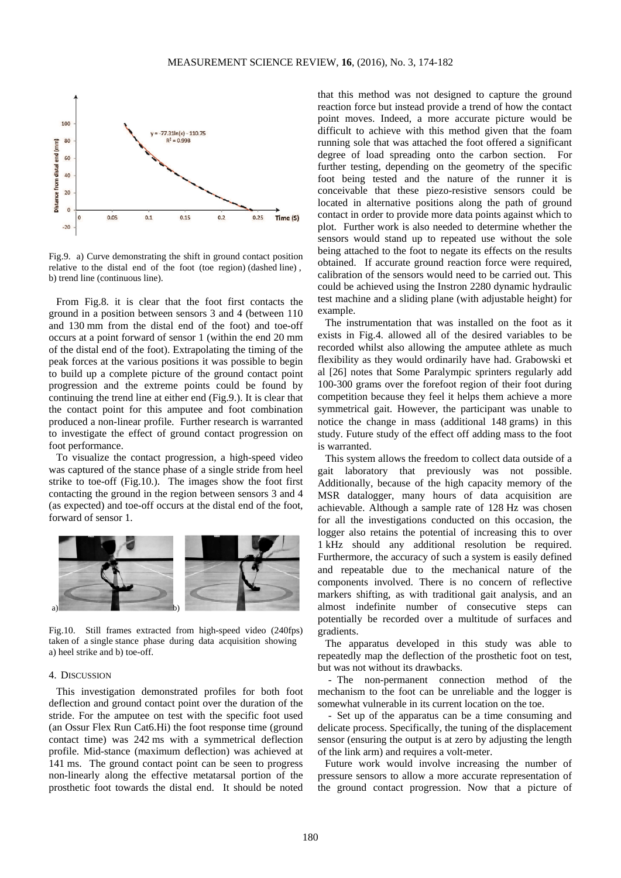

Fig.9. a) Curve demonstrating the shift in ground contact position relative to the distal end of the foot (toe region) (dashed line) , b) trend line (continuous line).

From Fig.8. it is clear that the foot first contacts the ground in a position between sensors 3 and 4 (between 110 and 130 mm from the distal end of the foot) and toe-off occurs at a point forward of sensor 1 (within the end 20 mm of the distal end of the foot). Extrapolating the timing of the peak forces at the various positions it was possible to begin to build up a complete picture of the ground contact point progression and the extreme points could be found by continuing the trend line at either end (Fig.9.). It is clear that the contact point for this amputee and foot combination produced a non-linear profile. Further research is warranted to investigate the effect of ground contact progression on foot performance.

To visualize the contact progression, a high-speed video was captured of the stance phase of a single stride from heel strike to toe-off (Fig.10.). The images show the foot first contacting the ground in the region between sensors 3 and 4 (as expected) and toe-off occurs at the distal end of the foot, forward of sensor 1.



Fig.10. Still frames extracted from high-speed video (240fps) taken of a single stance phase during data acquisition showing a) heel strike and b) toe-off.

#### 4. DISCUSSION

This investigation demonstrated profiles for both foot deflection and ground contact point over the duration of the stride. For the amputee on test with the specific foot used (an Ossur Flex Run Cat6.Hi) the foot response time (ground contact time) was 242 ms with a symmetrical deflection profile. Mid-stance (maximum deflection) was achieved at 141 ms. The ground contact point can be seen to progress non-linearly along the effective metatarsal portion of the prosthetic foot towards the distal end. It should be noted that this method was not designed to capture the ground reaction force but instead provide a trend of how the contact point moves. Indeed, a more accurate picture would be difficult to achieve with this method given that the foam running sole that was attached the foot offered a significant degree of load spreading onto the carbon section. For further testing, depending on the geometry of the specific foot being tested and the nature of the runner it is conceivable that these piezo-resistive sensors could be located in alternative positions along the path of ground contact in order to provide more data points against which to plot. Further work is also needed to determine whether the sensors would stand up to repeated use without the sole being attached to the foot to negate its effects on the results obtained. If accurate ground reaction force were required, calibration of the sensors would need to be carried out. This could be achieved using the Instron 2280 dynamic hydraulic test machine and a sliding plane (with adjustable height) for example.

The instrumentation that was installed on the foot as it exists in Fig.4. allowed all of the desired variables to be recorded whilst also allowing the amputee athlete as much flexibility as they would ordinarily have had. Grabowski et al [26] notes that Some Paralympic sprinters regularly add 100-300 grams over the forefoot region of their foot during competition because they feel it helps them achieve a more symmetrical gait. However, the participant was unable to notice the change in mass (additional 148 grams) in this study. Future study of the effect off adding mass to the foot is warranted.

This system allows the freedom to collect data outside of a gait laboratory that previously was not possible. Additionally, because of the high capacity memory of the MSR datalogger, many hours of data acquisition are achievable. Although a sample rate of 128 Hz was chosen for all the investigations conducted on this occasion, the logger also retains the potential of increasing this to over 1 kHz should any additional resolution be required. Furthermore, the accuracy of such a system is easily defined and repeatable due to the mechanical nature of the components involved. There is no concern of reflective markers shifting, as with traditional gait analysis, and an almost indefinite number of consecutive steps can potentially be recorded over a multitude of surfaces and gradients.

The apparatus developed in this study was able to repeatedly map the deflection of the prosthetic foot on test, but was not without its drawbacks.

- The non-permanent connection method of the mechanism to the foot can be unreliable and the logger is somewhat vulnerable in its current location on the toe.

- Set up of the apparatus can be a time consuming and delicate process. Specifically, the tuning of the displacement sensor (ensuring the output is at zero by adjusting the length of the link arm) and requires a volt-meter.

Future work would involve increasing the number of pressure sensors to allow a more accurate representation of the ground contact progression. Now that a picture of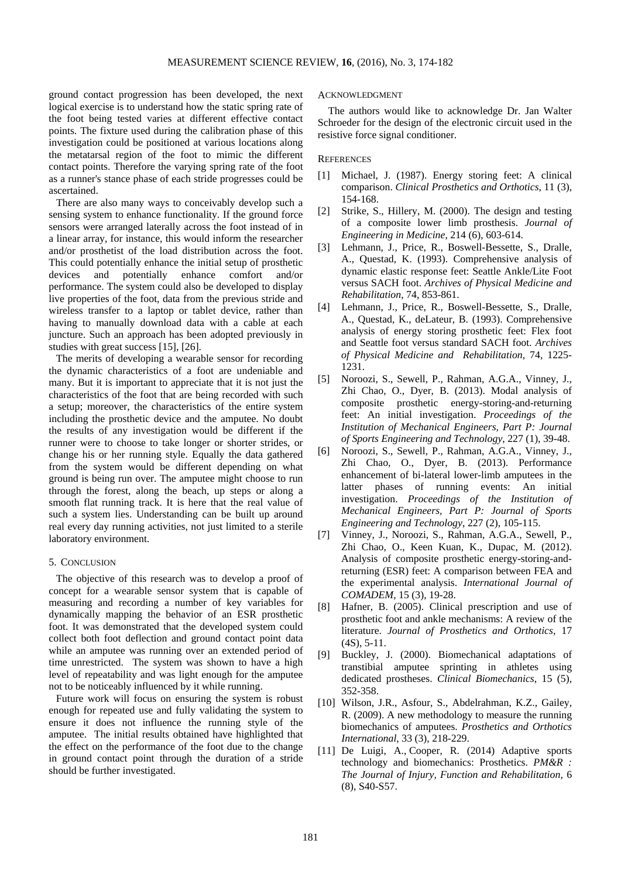ground contact progression has been developed, the next logical exercise is to understand how the static spring rate of the foot being tested varies at different effective contact points. The fixture used during the calibration phase of this investigation could be positioned at various locations along the metatarsal region of the foot to mimic the different contact points. Therefore the varying spring rate of the foot as a runner's stance phase of each stride progresses could be ascertained.

There are also many ways to conceivably develop such a sensing system to enhance functionality. If the ground force sensors were arranged laterally across the foot instead of in a linear array, for instance, this would inform the researcher and/or prosthetist of the load distribution across the foot. This could potentially enhance the initial setup of prosthetic devices and potentially enhance comfort and/or performance. The system could also be developed to display live properties of the foot, data from the previous stride and wireless transfer to a laptop or tablet device, rather than having to manually download data with a cable at each juncture. Such an approach has been adopted previously in studies with great success [15], [26].

The merits of developing a wearable sensor for recording the dynamic characteristics of a foot are undeniable and many. But it is important to appreciate that it is not just the characteristics of the foot that are being recorded with such a setup; moreover, the characteristics of the entire system including the prosthetic device and the amputee. No doubt the results of any investigation would be different if the runner were to choose to take longer or shorter strides, or change his or her running style. Equally the data gathered from the system would be different depending on what ground is being run over. The amputee might choose to run through the forest, along the beach, up steps or along a smooth flat running track. It is here that the real value of such a system lies. Understanding can be built up around real every day running activities, not just limited to a sterile laboratory environment.

#### 5. CONCLUSION

The objective of this research was to develop a proof of concept for a wearable sensor system that is capable of measuring and recording a number of key variables for dynamically mapping the behavior of an ESR prosthetic foot. It was demonstrated that the developed system could collect both foot deflection and ground contact point data while an amputee was running over an extended period of time unrestricted. The system was shown to have a high level of repeatability and was light enough for the amputee not to be noticeably influenced by it while running.

Future work will focus on ensuring the system is robust enough for repeated use and fully validating the system to ensure it does not influence the running style of the amputee. The initial results obtained have highlighted that the effect on the performance of the foot due to the change in ground contact point through the duration of a stride should be further investigated.

## ACKNOWLEDGMENT

The authors would like to acknowledge Dr. Jan Walter Schroeder for the design of the electronic circuit used in the resistive force signal conditioner.

#### **REFERENCES**

- [1] Michael, J. (1987). Energy storing feet: A clinical comparison. *Clinical Prosthetics and Orthotics*, 11 (3), 154-168.
- [2] Strike, S., Hillery, M. (2000). The design and testing of a composite lower limb prosthesis. *Journal of Engineering in Medicine*, 214 (6), 603-614.
- [3] Lehmann, J., Price, R., Boswell-Bessette, S., Dralle, A., Questad, K. (1993). Comprehensive analysis of dynamic elastic response feet: Seattle Ankle/Lite Foot versus SACH foot. *Archives of Physical Medicine and Rehabilitation*, 74, 853-861.
- [4] Lehmann, J., Price, R., Boswell-Bessette, S., Dralle, A., Questad, K., deLateur, B. (1993). Comprehensive analysis of energy storing prosthetic feet: Flex foot and Seattle foot versus standard SACH foot. *Archives of Physical Medicine and Rehabilitation*, 74, 1225- 1231.
- [5] Noroozi, S., Sewell, P., Rahman, A.G.A., Vinney, J., Zhi Chao, O., Dyer, B. (2013). Modal analysis of composite prosthetic energy-storing-and-returning feet: An initial investigation. *Proceedings of the Institution of Mechanical Engineers, Part P: Journal of Sports Engineering and Technology*, 227 (1), 39-48.
- [6] Noroozi, S., Sewell, P., Rahman, A.G.A., Vinney, J., Zhi Chao, O., Dyer, B. (2013). Performance enhancement of bi-lateral lower-limb amputees in the latter phases of running events: An initial investigation. *Proceedings of the Institution of Mechanical Engineers, Part P: Journal of Sports Engineering and Technology*, 227 (2), 105-115.
- [7] Vinney, J., Noroozi, S., Rahman, A.G.A., Sewell, P., Zhi Chao, O., Keen Kuan, K., Dupac, M. (2012). Analysis of composite prosthetic energy-storing-andreturning (ESR) feet: A comparison between FEA and the experimental analysis. *International Journal of COMADEM*, 15 (3), 19-28.
- [8] Hafner, B. (2005). Clinical prescription and use of prosthetic foot and ankle mechanisms: A review of the literature. *Journal of Prosthetics and Orthotics*, 17 (4S), 5-11.
- [9] Buckley, J. (2000). Biomechanical adaptations of transtibial amputee sprinting in athletes using dedicated prostheses. *Clinical Biomechanics*, 15 (5), 352-358.
- [10] Wilson, J.R., Asfour, S., Abdelrahman, K.Z., Gailey, R. (2009). A new methodology to measure the running biomechanics of amputees. *Prosthetics and Orthotics International*, 33 (3), 218-229.
- [11] De Luigi, A., Cooper, R. (2014) Adaptive sports technology and biomechanics: Prosthetics. *PM&R : The Journal of Injury, Function and Rehabilitation*, 6 (8), S40-S57.